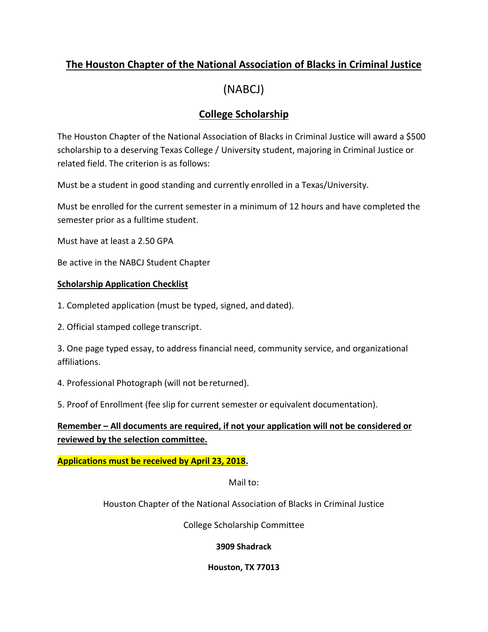## **The Houston Chapter of the National Association of Blacks in Criminal Justice**

# (NABCJ)

## **College Scholarship**

The Houston Chapter of the National Association of Blacks in Criminal Justice will award a \$500 scholarship to a deserving Texas College / University student, majoring in Criminal Justice or related field. The criterion is as follows:

Must be a student in good standing and currently enrolled in a Texas/University.

Must be enrolled for the current semester in a minimum of 12 hours and have completed the semester prior as a fulltime student.

Must have at least a 2.50 GPA

Be active in the NABCJ Student Chapter

#### **Scholarship Application Checklist**

1. Completed application (must be typed, signed, and dated).

2. Official stamped college transcript.

3. One page typed essay, to address financial need, community service, and organizational affiliations.

4. Professional Photograph (will not be returned).

5. Proof of Enrollment (fee slip for current semester or equivalent documentation).

**Remember – All documents are required, if not your application will not be considered or reviewed by the selection committee.**

**Applications must be received by April 23, 2018.**

Mail to:

Houston Chapter of the National Association of Blacks in Criminal Justice

College Scholarship Committee

**3909 Shadrack**

#### **Houston, TX 77013**